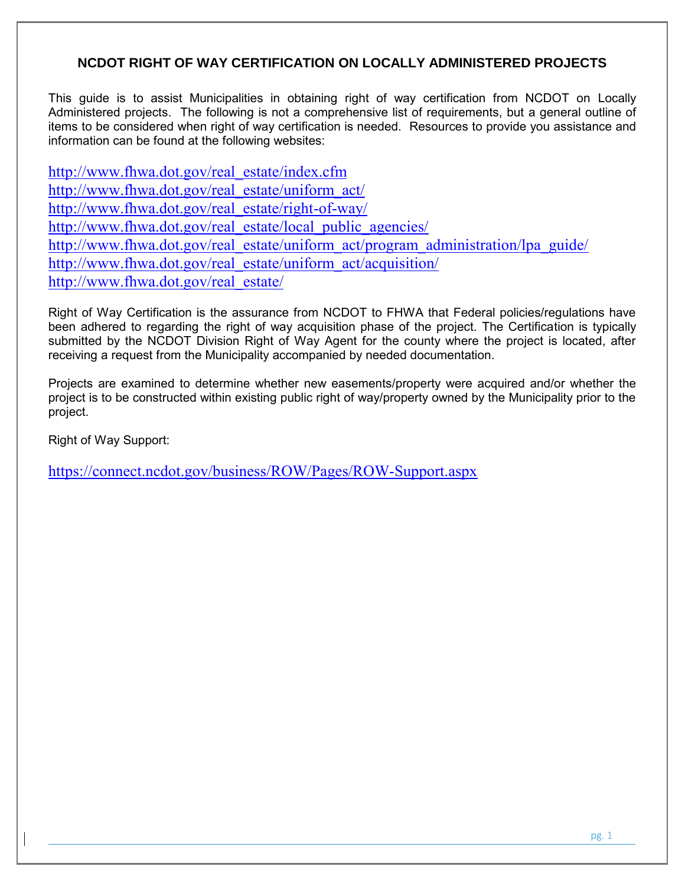# **NCDOT RIGHT OF WAY CERTIFICATION ON LOCALLY ADMINISTERED PROJECTS**

This guide is to assist Municipalities in obtaining right of way certification from NCDOT on Locally Administered projects. The following is not a comprehensive list of requirements, but a general outline of items to be considered when right of way certification is needed. Resources to provide you assistance and information can be found at the following websites:

[http://www.fhwa.dot.gov/real\\_estate/index.cfm](http://www.fhwa.dot.gov/real_estate/index.cfm) [http://www.fhwa.dot.gov/real\\_estate/uniform\\_act/](http://www.fhwa.dot.gov/real_estate/uniform_act/) [http://www.fhwa.dot.gov/real\\_estate/right-of-way/](http://www.fhwa.dot.gov/real_estate/right-of-way/) [http://www.fhwa.dot.gov/real\\_estate/local\\_public\\_agencies/](http://www.fhwa.dot.gov/real_estate/local_public_agencies/) [http://www.fhwa.dot.gov/real\\_estate/uniform\\_act/program\\_administration/lpa\\_guide/](http://www.fhwa.dot.gov/real_estate/uniform_act/program_administration/lpa_guide/) [http://www.fhwa.dot.gov/real\\_estate/uniform\\_act/acquisition/](http://www.fhwa.dot.gov/real_estate/uniform_act/acquisition/) [http://www.fhwa.dot.gov/real\\_estate/](http://www.fhwa.dot.gov/real_estate/)

Right of Way Certification is the assurance from NCDOT to FHWA that Federal policies/regulations have been adhered to regarding the right of way acquisition phase of the project. The Certification is typically submitted by the NCDOT Division Right of Way Agent for the county where the project is located, after receiving a request from the Municipality accompanied by needed documentation.

Projects are examined to determine whether new easements/property were acquired and/or whether the project is to be constructed within existing public right of way/property owned by the Municipality prior to the project.

Right of Way Support:

<https://connect.ncdot.gov/business/ROW/Pages/ROW-Support.aspx>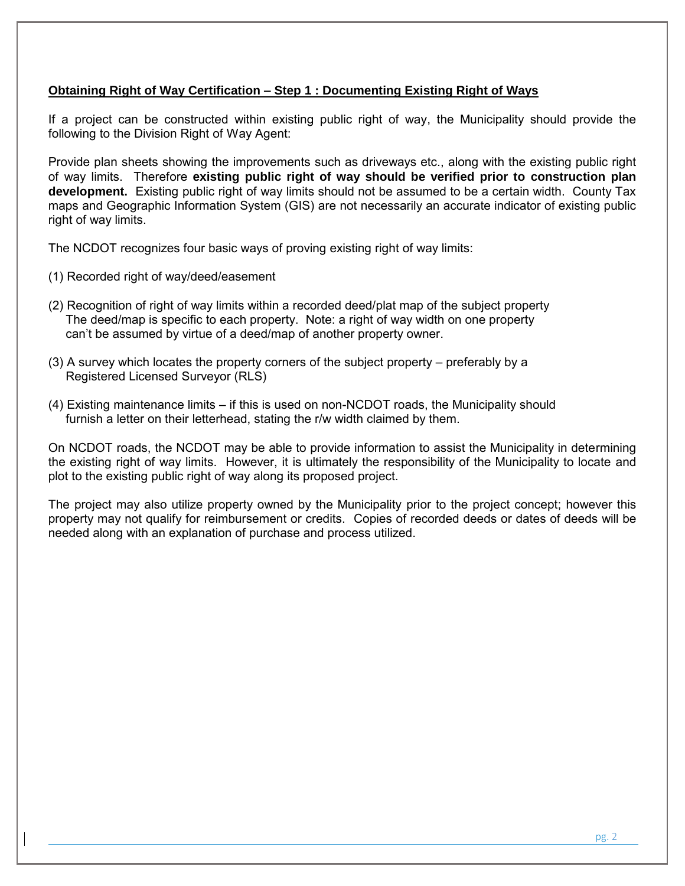## **Obtaining Right of Way Certification – Step 1 : Documenting Existing Right of Ways**

If a project can be constructed within existing public right of way, the Municipality should provide the following to the Division Right of Way Agent:

Provide plan sheets showing the improvements such as driveways etc., along with the existing public right of way limits. Therefore **existing public right of way should be verified prior to construction plan development.** Existing public right of way limits should not be assumed to be a certain width. County Tax maps and Geographic Information System (GIS) are not necessarily an accurate indicator of existing public right of way limits.

The NCDOT recognizes four basic ways of proving existing right of way limits:

- (1) Recorded right of way/deed/easement
- (2) Recognition of right of way limits within a recorded deed/plat map of the subject property The deed/map is specific to each property. Note: a right of way width on one property can't be assumed by virtue of a deed/map of another property owner.
- (3) A survey which locates the property corners of the subject property preferably by a Registered Licensed Surveyor (RLS)
- (4) Existing maintenance limits if this is used on non-NCDOT roads, the Municipality should furnish a letter on their letterhead, stating the r/w width claimed by them.

On NCDOT roads, the NCDOT may be able to provide information to assist the Municipality in determining the existing right of way limits. However, it is ultimately the responsibility of the Municipality to locate and plot to the existing public right of way along its proposed project.

The project may also utilize property owned by the Municipality prior to the project concept; however this property may not qualify for reimbursement or credits. Copies of recorded deeds or dates of deeds will be needed along with an explanation of purchase and process utilized.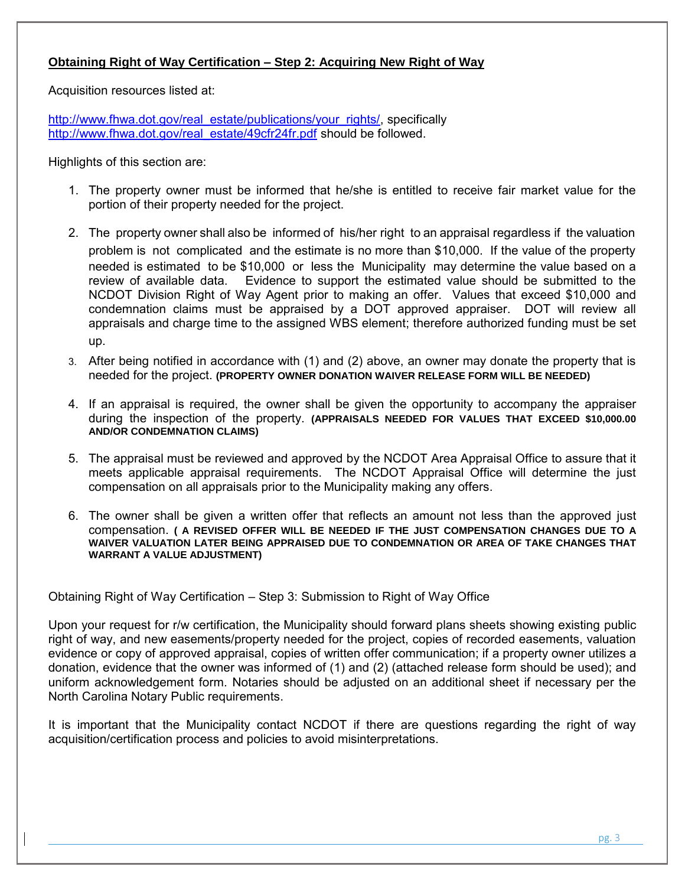# **Obtaining Right of Way Certification – Step 2: Acquiring New Right of Way**

Acquisition resources listed at:

[http://www.fhwa.dot.gov/real\\_estate/publications/your\\_rights/,](http://www.fhwa.dot.gov/real_estate/publications/your_rights/) specifically [http://www.fhwa.dot.gov/real\\_estate/49cfr24fr.pdf](http://www.fhwa.dot.gov/real_estate/49cfr24fr.pdf) should be followed.

Highlights of this section are:

- 1. The property owner must be informed that he/she is entitled to receive fair market value for the portion of their property needed for the project.
- 2. The property owner shall also be informed of his/her right to an appraisal regardless if the valuation problem is not complicated and the estimate is no more than \$10,000. If the value of the property needed is estimated to be \$10,000 or less the Municipality may determine the value based on a review of available data. Evidence to support the estimated value should be submitted to the NCDOT Division Right of Way Agent prior to making an offer. Values that exceed \$10,000 and condemnation claims must be appraised by a DOT approved appraiser. DOT will review all appraisals and charge time to the assigned WBS element; therefore authorized funding must be set up.
- 3. After being notified in accordance with (1) and (2) above, an owner may donate the property that is needed for the project. **(PROPERTY OWNER DONATION WAIVER RELEASE FORM WILL BE NEEDED)**
- 4. If an appraisal is required, the owner shall be given the opportunity to accompany the appraiser during the inspection of the property. **(APPRAISALS NEEDED FOR VALUES THAT EXCEED \$10,000.00 AND/OR CONDEMNATION CLAIMS)**
- 5. The appraisal must be reviewed and approved by the NCDOT Area Appraisal Office to assure that it meets applicable appraisal requirements. The NCDOT Appraisal Office will determine the just compensation on all appraisals prior to the Municipality making any offers.
- 6. The owner shall be given a written offer that reflects an amount not less than the approved just compensation. **( A REVISED OFFER WILL BE NEEDED IF THE JUST COMPENSATION CHANGES DUE TO A WAIVER VALUATION LATER BEING APPRAISED DUE TO CONDEMNATION OR AREA OF TAKE CHANGES THAT WARRANT A VALUE ADJUSTMENT)**

Obtaining Right of Way Certification – Step 3: Submission to Right of Way Office

Upon your request for r/w certification, the Municipality should forward plans sheets showing existing public right of way, and new easements/property needed for the project, copies of recorded easements, valuation evidence or copy of approved appraisal, copies of written offer communication; if a property owner utilizes a donation, evidence that the owner was informed of (1) and (2) (attached release form should be used); and uniform acknowledgement form. Notaries should be adjusted on an additional sheet if necessary per the North Carolina Notary Public requirements.

It is important that the Municipality contact NCDOT if there are questions regarding the right of way acquisition/certification process and policies to avoid misinterpretations.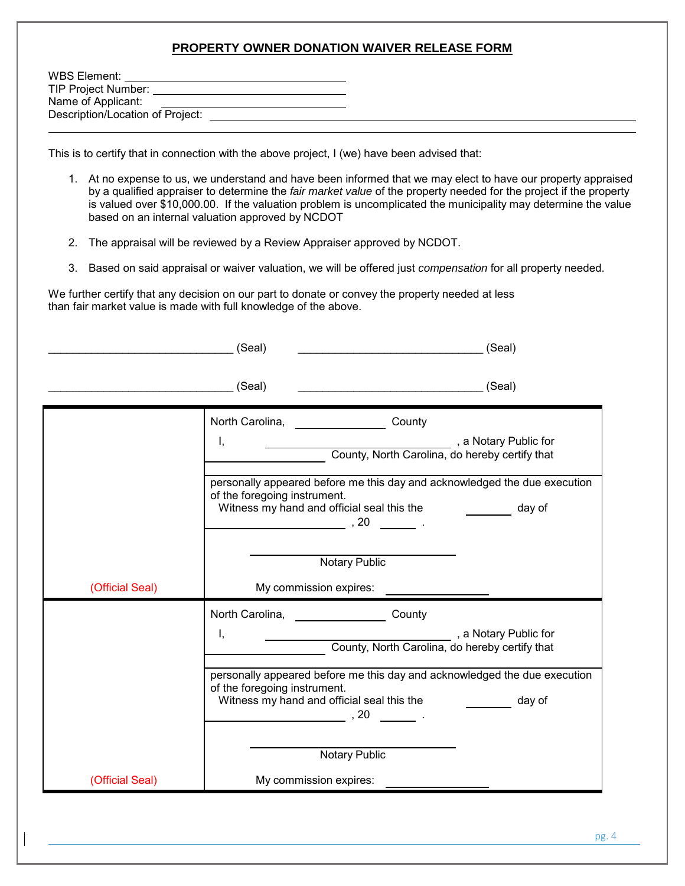#### **PROPERTY OWNER DONATION WAIVER RELEASE FORM**

| WBS Element:                     |  |
|----------------------------------|--|
| <b>TIP Project Number:</b>       |  |
| Name of Applicant:               |  |
| Description/Location of Project: |  |
|                                  |  |

This is to certify that in connection with the above project, I (we) have been advised that:

- 1. At no expense to us, we understand and have been informed that we may elect to have our property appraised by a qualified appraiser to determine the *fair market value* of the property needed for the project if the property is valued over \$10,000.00. If the valuation problem is uncomplicated the municipality may determine the value based on an internal valuation approved by NCDOT
- 2. The appraisal will be reviewed by a Review Appraiser approved by NCDOT.
- 3. Based on said appraisal or waiver valuation, we will be offered just *compensation* for all property needed.

We further certify that any decision on our part to donate or convey the property needed at less than fair market value is made with full knowledge of the above.

|                 | (Seal)<br>(Seal)                                                                                                                                                    |        |
|-----------------|---------------------------------------------------------------------------------------------------------------------------------------------------------------------|--------|
|                 | $\equiv$ (Seal)<br><u>(Seal)</u> (Seal)                                                                                                                             |        |
|                 | North Carolina,<br>County                                                                                                                                           |        |
|                 | a Notary Public for<br>County, North Carolina, do hereby certify that<br>I,                                                                                         |        |
|                 | personally appeared before me this day and acknowledged the due execution<br>of the foregoing instrument.<br>Witness my hand and official seal this the<br>$, 20$ . | day of |
|                 | <b>Notary Public</b>                                                                                                                                                |        |
| (Official Seal) | My commission expires:                                                                                                                                              |        |
|                 | North Carolina,<br>County                                                                                                                                           |        |
|                 | a Notary Public for<br>I,<br>County, North Carolina, do hereby certify that                                                                                         |        |
|                 | personally appeared before me this day and acknowledged the due execution<br>of the foregoing instrument.                                                           |        |
|                 | Witness my hand and official seal this the<br>, 20                                                                                                                  | day of |
|                 | Notary Public                                                                                                                                                       |        |
| (Official Seal) | My commission expires:                                                                                                                                              |        |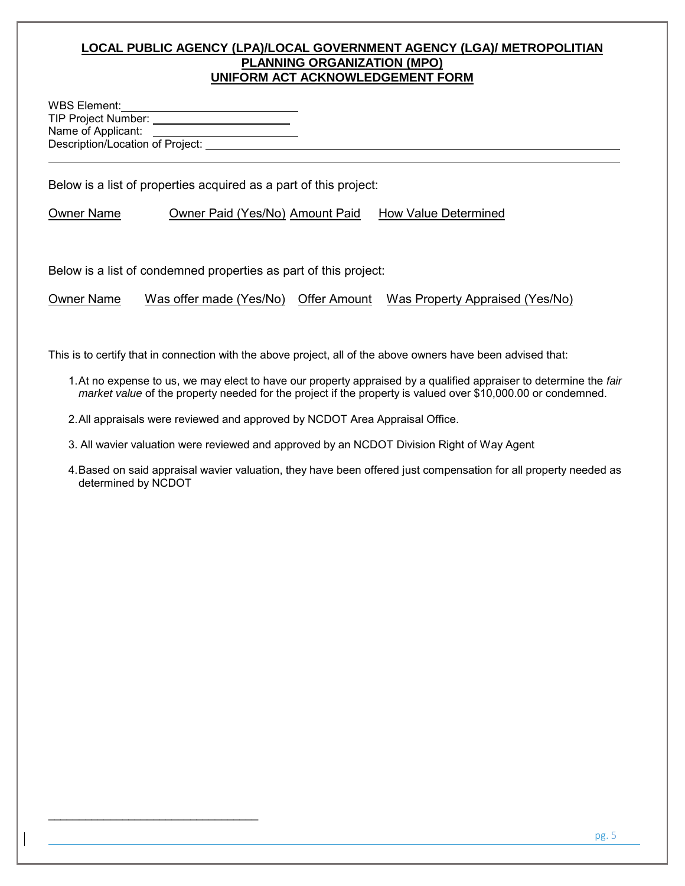## **LOCAL PUBLIC AGENCY (LPA)/LOCAL GOVERNMENT AGENCY (LGA)/ METROPOLITIAN PLANNING ORGANIZATION (MPO) UNIFORM ACT ACKNOWLEDGEMENT FORM**

WBS Element: TIP Project Number: Name of Applicant: Description/Location of Project:

\_\_\_\_\_\_\_\_\_\_\_\_\_\_\_\_\_\_\_\_\_\_\_\_\_\_\_\_\_\_\_\_\_\_

l

Below is a list of properties acquired as a part of this project:

Owner Name Owner Paid (Yes/No) Amount Paid How Value Determined

Below is a list of condemned properties as part of this project:

Owner Name Was offer made (Yes/No) Offer Amount Was Property Appraised (Yes/No)

This is to certify that in connection with the above project, all of the above owners have been advised that:

- 1. At no expense to us, we may elect to have our property appraised by a qualified appraiser to determine the *fair market value* of the property needed for the project if the property is valued over \$10,000.00 or condemned.
- 2.All appraisals were reviewed and approved by NCDOT Area Appraisal Office.
- 3. All wavier valuation were reviewed and approved by an NCDOT Division Right of Way Agent
- 4. Based on said appraisal wavier valuation, they have been offered just compensation for all property needed as determined by NCDOT